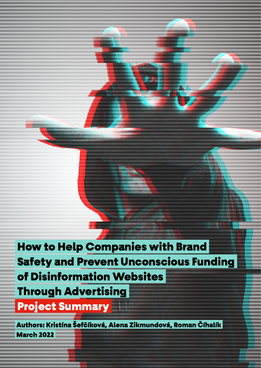How to Help Companies with Brand Safety and Prevent Unconscious Funding of Disinformation Websites Through Advertising Project Summary

 Authors: Kristína Šefčíková, Alena Zikmundová, Roman Číhalík March 2022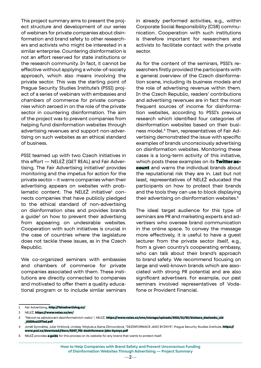This project summary aims to present the project structure and development of our series of webinars for private companies about disinformation and brand safety to other researchers and activists who might be interested in a similar enterprise. Countering disinformation is not an effort reserved for state institutions or the research community. In fact, it cannot be effective without applying a whole-of-society approach, which also means involving the private sector. This was the starting point of Prague Security Studies Institute's (PSSI) project of a series of webinars with embassies and chambers of commerce for private companies which zeroed in on the role of the private sector in countering disinformation. The aim of the project was to prevent companies from helping fund disinformation websites through advertising revenues and support non-advertising on such websites as an ethical standard of business.

PSSI teamed up with two Czech initiatives in this effort — NELEŽ (GET REAL) and Fair Advertising. The Fair Advertising initiative<sup>1</sup> provides monitoring and the impetus for action for the private sector – it warns companies when their advertising appears on websites with problematic content. The NELEŽ initiative<sup>2</sup> connects companies that have publicly pledged to the ethical standard of non-advertising on disinformation sites and provides brands a guide<sup>3</sup> on how to prevent their advertising from appearing on undesirable websites. Cooperation with such initiatives is crucial in the case of countries where the legislature does not tackle these issues, as in the Czech Republic.

We co-organized seminars with embassies and chambers of commerce for private companies associated with them. These institutions are directly connected to companies and motivated to offer them a quality educational program or to include similar seminars in already performed activities, e.g., within Corporate Social Responsibility (CSR) communication. Cooperation with such institutions is therefore important for researchers and activists to facilitate contact with the private sector.

As for the content of the seminars, PSSI's researchers firstly provided the participants with a general overview of the Czech disinformation scene, including its business models and the role of advertising revenue within them. In the Czech Republic, readers' contributions and advertising revenues are in fact the most frequent sources of income for disinformation websites, according to PSSI's previous research which identified four categories of disinformation websites based on their business model.4 Then, representatives of Fair Advertising demonstrated the issue with specific examples of brands unconsciously advertising on disinformation websites. Monitoring these cases is a long-term activity of this initiative, which posts these examples on its [Twitter ac](https://twitter.com/AdvertiseFAIR)[count](https://twitter.com/AdvertiseFAIR) and warns the individual brands about the reputational risk they are in. Last but not least, representatives of NELEŽ educated the participants on how to protect their brands and the tools they can use to block displaying their advertising on disinformation websites.<sup>5</sup>

The ideal target audience for this type of seminars are PR and marketing experts and advertisers who oversee brand communication in the online space. To convey the message more effectively, it is useful to have a guest lecturer from the private sector itself, e.g., from a given country's cooperating embassy, who can talk about their brand's approach to brand safety. We recommend focusing on large and well-known brands which are associated with strong PR potential and are also significant advertisers. For example, our past seminars involved representatives of Vodafone or Provident Financial.

<sup>1</sup> Fair Advertising, <http://fairadvertising.cz/>

<sup>2</sup> NELEŽ, <https://www.nelez.cz/en/>

<sup>3</sup> "Návod na zablokování dezinformačních webů ", NELEŽ, [https://www.nelez.cz/cms/storage/uploads/2021/11/02/blokace\\_deziwebu\\_uid](https://www.nelez.cz/cms/storage/uploads/2021/11/02/blokace_deziwebu_uid_61815ea13f7ad.pdf) [\\_61815ea13f7ad.pdf](https://www.nelez.cz/cms/storage/uploads/2021/11/02/blokace_deziwebu_uid_61815ea13f7ad.pdf)

<sup>4</sup> Jonáš Syrovátka, Julie Vinklová, Lindsay Wojtula a Alena Zikmundová, "DEZINFORMACE JAKO BYZNYS", Prague Security Studies Institute, [https://](https://www.pssi.cz/download//docs/8207_751-dezinformace-jako-byznys.pdf) [www.pssi.cz/download//docs/8207\\_751-dezinformace-jako-byznys.pdf](https://www.pssi.cz/download//docs/8207_751-dezinformace-jako-byznys.pdf)

<sup>5</sup> NELEŽ provides **[a guide](https://www.nelez.cz/cms/storage/uploads/2021/11/02/blokace_deziwebu_uid_61815ea13f7ad.pdf)** for this process on its website for any brand that wants to protect itself.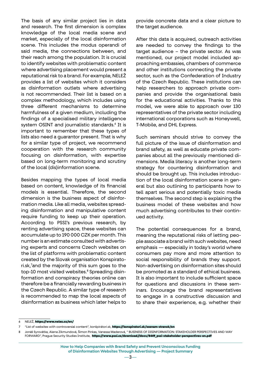The basis of any similar project lies in data and research. The first dimension is complex knowledge of the local media scene and market, especially of the local disinformation scene. This includes the modus operandi of said media, the connections between, and their reach among the population. It is crucial to identify websites with problematic content where advertising placement would present a reputational risk to a brand. For example, NELEŽ provides a list of websites which it considers as disinformation outlets where advertising is not recommended. Their list is based on a complex methodology, which includes using three different mechanisms to determine harmfulness of a given medium, including the findings of a specialised military intelligence system OSINT and journalistic standards.<sup>6</sup> It is important to remember that these types of lists also need a guarantor present. That is why for a similar type of project, we recommend cooperation with the research community focusing on disinformation, with expertise based on long-term monitoring and scrutiny of the local (dis)information scene.

Besides mapping the types of local media based on content, knowledge of its financial models is essential. Therefore, the second dimension is the business aspect of disinformation media. Like all media, websites spreading disinformation and manipulative content require funding to keep up their operation. According to PSSI's previous research, by renting advertising space, these websites can accumulate up to 190 000 CZK per month. This number is an estimate consulted with advertising experts and concerns Czech websites on the list of platforms with problematic content created by the Slovak organisation Konspiratori.sk,7 and the majority of this sum goes to the top-10 most visited websites.<sup>8</sup> Spreading disinformation and conspiracy theories online can therefore be a financially rewarding business in the Czech Republic. A similar type of research is recommended to map the local aspects of disinformation as business which later helps to provide concrete data and a clear picture to the target audience.

After this data is acquired, outreach activities are needed to convey the findings to the target audience – the private sector. As was mentioned, our project model included approaching embassies, chambers of commerce and other institutions connecting the private sector, such as the Confederation of Industry of the Czech Republic. These institutions can help researchers to approach private companies and provide the organisational basis for the educational activities. Thanks to this model, we were able to approach over 130 representatives of the private sector including international corporations such as Honeywell, T-Mobile, and DHL Express.

Such seminars should strive to convey the full picture of the issue of disinformation and brand safety, as well as educate private companies about all the previously mentioned dimensions. Media literacy is another long-term strategy for countering disinformation and should be brought up. This includes introduction of the local disinformation scene in general but also outlining to participants how to tell apart serious and potentially toxic media themselves. The second step is explaining the business model of these websites and how much advertising contributes to their continued activity.

The potential consequences for a brand, meaning the reputational risks of letting people associate a brand with such websites, need emphasis — especially in today's world where consumers pay more and more attention to social responsibility of brands they support. Non-advertising on disinformation sites should be promoted as a standard of ethical business. It is also important to include sufficient space for questions and discussions in these seminars. Encourage the brand representatives to engage in a constructive discussion and to share their experience, e.g. whether their

<sup>6</sup> NELEŽ, <https://www.nelez.cz/en/>

<sup>7 &</sup>quot;List of websites with controversial content", konšpirátori.sk, <https://konspiratori.sk/zoznam-stranok/en>

<sup>8</sup> Jonáš Syrovátka, Alena Zikmundová, Šimon Pinkas, Vanessa Maderová, " BUSINESS OF DISINFORMATION: STAKEHOLDER PERSPECTIVES AND WAY FORWARD", Prague Security Studies Institute, [https://www.pssi.cz/download//docs/8449\\_pssi-stakeholder-perspectives-en.pdf](https://www.pssi.cz/download//docs/8449_pssi-stakeholder-perspectives-en.pdf)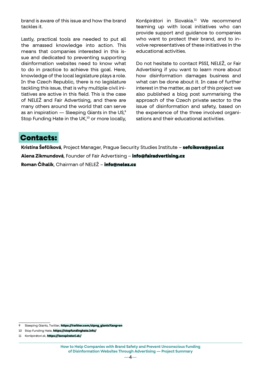brand is aware of this issue and how the brand tackles it.

Lastly, practical tools are needed to put all the amassed knowledge into action. This means that companies interested in this issue and dedicated to preventing supporting disinformation websites need to know what to do in practice to achieve this goal. Here, knowledge of the local legislature plays a role. In the Czech Republic, there is no legislature tackling this issue, that is why multiple civil initiatives are active in this field. This is the case of NELEŽ and Fair Advertising, and there are many others around the world that can serve as an inspiration — Sleeping Giants in the US, $\degree$ Stop Funding Hate in the UK,<sup>10</sup> or more locally,

Konšpirátori in Slovakia.11 We recommend teaming up with local initiatives who can provide support and guidance to companies who want to protect their brand, and to involve representatives of these initiatives in the educational activities.

Do not hesitate to contact PSSI, NELEŽ, or Fair Advertising if you want to learn more about how disinformation damages business and what can be done about it. In case of further interest in the matter, as part of this project we also published a blog post summarising the approach of the Czech private sector to the issue of disinformation and safety, based on the experience of the three involved organisations and their educational activities.

## Contacts:

**Kristína Šefčíková**, Project Manager, Prague Security Studies Institute – [sefcikova@pssi.cz](mailto:sefcikova%40pssi.cz?subject=) **Alena Zikmundová**, Founder of Fair Advertising – [info@fairadvertising.cz](mailto:info%40fairadvertising.cz?subject=) **Roman Číhalík**, Chairman of NELEŽ – [info@nelez.cz](mailto:info%40nelez.cz?subject=)

<sup>9</sup> Sleeping Giants, Twitter, [https://twitter.com/slpng\\_giants?lang=en](https://twitter.com/slpng_giants?lang=en)

<sup>10</sup> Stop Funding Hate, <https://stopfundinghate.info/>

<sup>11</sup> Konšpirátori.sk, <https://konspiratori.sk/>

**How to Help Companies with Brand Safety and Prevent Unconscious Funding of Disinformation Websites Through Advertising — Project Summary**